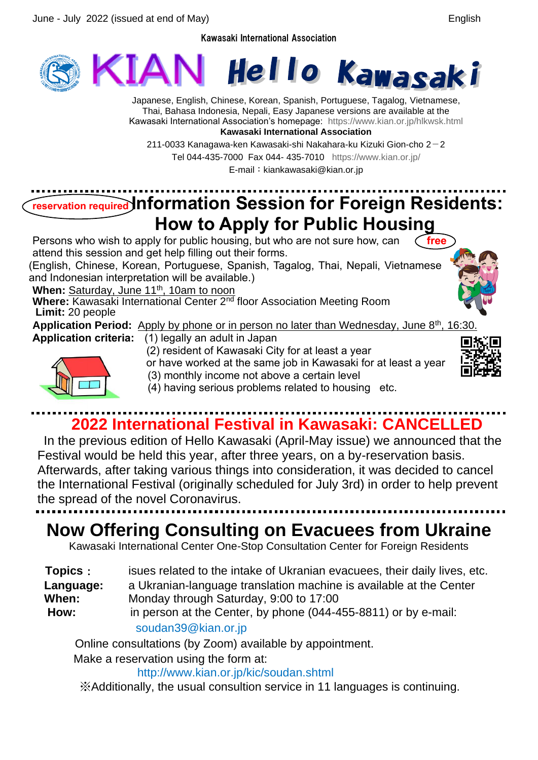Kawasaki International Association



Japanese, English, Chinese, Korean, Spanish, Portuguese, Tagalog, Vietnamese, Thai, Bahasa Indonesia, Nepali, Easy Japanese versions are available at the Kawasaki International Association's homepage: <https://www.kian.or.jp/hlkwsk.html> **Kawasaki International Association**

211-0033 Kanagawa-ken Kawasaki-shi Nakahara-ku Kizuki Gion-cho  $2-2$ Tel 044-435-7000 Fax 044- 435-7010 <https://www.kian.or.jp/>

E-mail: kiankawasaki@kian.or.jp

# **reservation required Information Session for Foreign Residents: How to Apply for Public Housing**

Persons who wish to apply for public housing, but who are not sure how, can **free** attend this session and get help filling out their forms.

(English, Chinese, Korean, Portuguese, Spanish, Tagalog, Thai, Nepali, Vietnamese and Indonesian interpretation will be available.)

When: Saturday, June 11<sup>th</sup>, 10am to noon

**Where:** Kawasaki International Center 2nd floor Association Meeting Room **Limit:** 20 people

Application Period: Apply by phone or in person no later than Wednesday, June 8<sup>th</sup>, 16:30

- **Application criteria:** (1) legally an adult in Japan
	- (2) resident of Kawasaki City for at least a year







- 
- (3) monthly income not above a certain level (4) having serious problems related to housing etc.

# **2022 International Festival in Kawasaki: CANCELLED**

In the previous edition of Hello Kawasaki (April-May issue) we announced that the Festival would be held this year, after three years, on a by-reservation basis. Afterwards, after taking various things into consideration, it was decided to cancel the International Festival (originally scheduled for July 3rd) in order to help prevent the spread of the novel Coronavirus.

## **Now Offering Consulting on Evacuees from Ukraine**

Kawasaki International Center One-Stop Consultation Center for Foreign Residents

**Topics**: isues related to the intake of Ukranian evacuees, their daily lives, etc. **Language:** a Ukranian-language translation machine is available at the Center **When:** Monday through Saturday, 9:00 to 17:00 **How:** in person at the Center, by phone (044-455-8811) or by e-mail: soudan39@kian.or.jp

Online consultations (by Zoom) available by appointment.

Make a reservation using the form at:

http://www.kian.or.jp/kic/soudan.shtml

※Additionally, the usual consultion service in 11 languages is continuing.